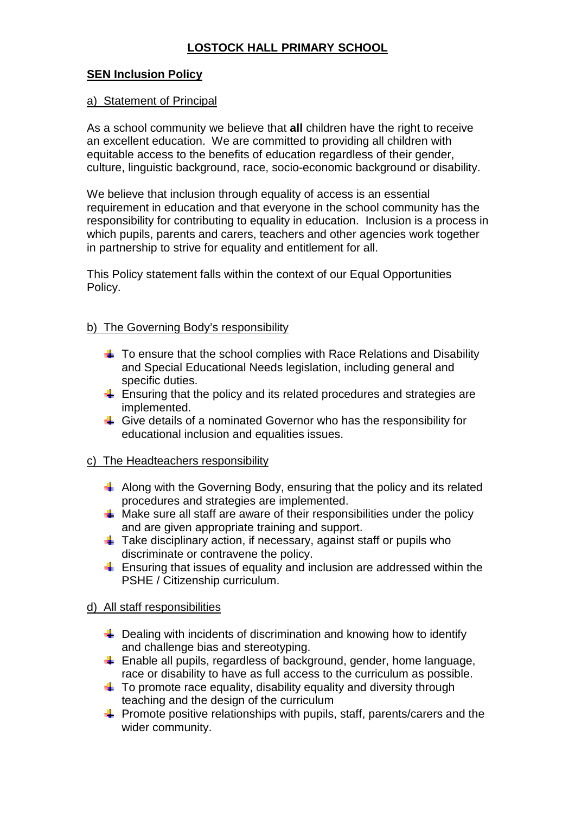# **LOSTOCK HALL PRIMARY SCHOOL**

## **SEN Inclusion Policy**

#### a) Statement of Principal

As a school community we believe that **all** children have the right to receive an excellent education. We are committed to providing all children with equitable access to the benefits of education regardless of their gender, culture, linguistic background, race, socio-economic background or disability.

We believe that inclusion through equality of access is an essential requirement in education and that everyone in the school community has the responsibility for contributing to equality in education. Inclusion is a process in which pupils, parents and carers, teachers and other agencies work together in partnership to strive for equality and entitlement for all.

This Policy statement falls within the context of our Equal Opportunities Policy.

#### b) The Governing Body's responsibility

- $\frac{1}{2}$  To ensure that the school complies with Race Relations and Disability and Special Educational Needs legislation, including general and specific duties.
- $\frac{1}{2}$  Ensuring that the policy and its related procedures and strategies are implemented.
- $\frac{1}{2}$  Give details of a nominated Governor who has the responsibility for educational inclusion and equalities issues.

### c) The Headteachers responsibility

- $\Box$  Along with the Governing Body, ensuring that the policy and its related procedures and strategies are implemented.
- $\frac{1}{2}$  Make sure all staff are aware of their responsibilities under the policy and are given appropriate training and support.
- $\frac{1}{2}$  Take disciplinary action, if necessary, against staff or pupils who discriminate or contravene the policy.
- **Ensuring that issues of equality and inclusion are addressed within the** PSHE / Citizenship curriculum.

### d) All staff responsibilities

- $\frac{1}{2}$  Dealing with incidents of discrimination and knowing how to identify and challenge bias and stereotyping.
- $\triangleq$  Enable all pupils, regardless of background, gender, home language, race or disability to have as full access to the curriculum as possible.
- $\pm$  To promote race equality, disability equality and diversity through teaching and the design of the curriculum
- $\frac{1}{2}$  Promote positive relationships with pupils, staff, parents/carers and the wider community.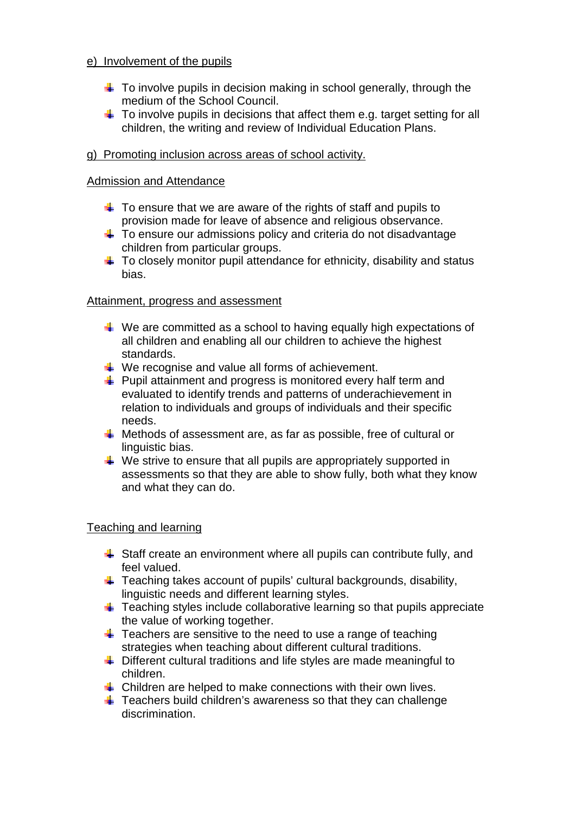### e) Involvement of the pupils

- $\frac{1}{2}$  To involve pupils in decision making in school generally, through the medium of the School Council.
- $\downarrow$  To involve pupils in decisions that affect them e.g. target setting for all children, the writing and review of Individual Education Plans.

## g) Promoting inclusion across areas of school activity.

## Admission and Attendance

- $\frac{1}{2}$  To ensure that we are aware of the rights of staff and pupils to provision made for leave of absence and religious observance.
- To ensure our admissions policy and criteria do not disadvantage children from particular groups.
- $\frac{1}{2}$  To closely monitor pupil attendance for ethnicity, disability and status bias.

## Attainment, progress and assessment

- $\blacksquare$  We are committed as a school to having equally high expectations of all children and enabling all our children to achieve the highest standards.
- $\frac{1}{2}$  We recognise and value all forms of achievement.
- $\frac{1}{2}$  Pupil attainment and progress is monitored every half term and evaluated to identify trends and patterns of underachievement in relation to individuals and groups of individuals and their specific needs.
- $\frac{1}{2}$  Methods of assessment are, as far as possible, free of cultural or linguistic bias.
- $\downarrow$  We strive to ensure that all pupils are appropriately supported in assessments so that they are able to show fully, both what they know and what they can do.

## Teaching and learning

- $\frac{1}{2}$  Staff create an environment where all pupils can contribute fully, and feel valued.
- $\downarrow$  Teaching takes account of pupils' cultural backgrounds, disability, linguistic needs and different learning styles.
- $\frac{1}{2}$  Teaching styles include collaborative learning so that pupils appreciate the value of working together.
- $\frac{1}{2}$  Teachers are sensitive to the need to use a range of teaching strategies when teaching about different cultural traditions.
- $\triangleq$  Different cultural traditions and life styles are made meaningful to children.
- $\frac{1}{2}$  Children are helped to make connections with their own lives.
- $\frac{1}{2}$  Teachers build children's awareness so that they can challenge discrimination.